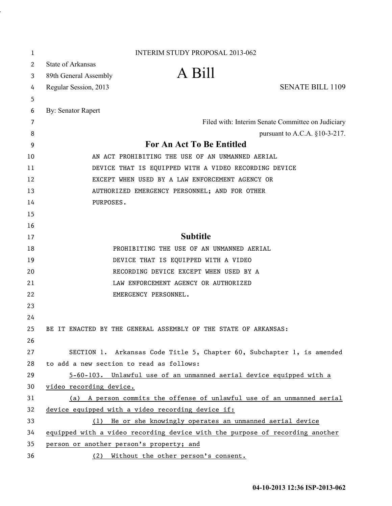| 1  | <b>INTERIM STUDY PROPOSAL 2013-062</b>                                       |
|----|------------------------------------------------------------------------------|
| 2  | <b>State of Arkansas</b>                                                     |
| 3  | A Bill<br>89th General Assembly                                              |
| 4  | <b>SENATE BILL 1109</b><br>Regular Session, 2013                             |
| 5  |                                                                              |
| 6  | By: Senator Rapert                                                           |
| 7  | Filed with: Interim Senate Committee on Judiciary                            |
| 8  | pursuant to A.C.A. $§10-3-217$ .                                             |
| 9  | <b>For An Act To Be Entitled</b>                                             |
| 10 | AN ACT PROHIBITING THE USE OF AN UNMANNED AERIAL                             |
| 11 | DEVICE THAT IS EQUIPPED WITH A VIDEO RECORDING DEVICE                        |
| 12 | EXCEPT WHEN USED BY A LAW ENFORCEMENT AGENCY OR                              |
| 13 | AUTHORIZED EMERGENCY PERSONNEL; AND FOR OTHER                                |
| 14 | PURPOSES.                                                                    |
| 15 |                                                                              |
| 16 |                                                                              |
| 17 | <b>Subtitle</b>                                                              |
| 18 | PROHIBITING THE USE OF AN UNMANNED AERIAL                                    |
| 19 | DEVICE THAT IS EQUIPPED WITH A VIDEO                                         |
| 20 | RECORDING DEVICE EXCEPT WHEN USED BY A                                       |
| 21 | LAW ENFORCEMENT AGENCY OR AUTHORIZED                                         |
| 22 | EMERGENCY PERSONNEL.                                                         |
| 23 |                                                                              |
| 24 |                                                                              |
| 25 | BE IT ENACTED BY THE GENERAL ASSEMBLY OF THE STATE OF ARKANSAS:              |
| 26 |                                                                              |
| 27 | SECTION 1. Arkansas Code Title 5, Chapter 60, Subchapter 1, is amended       |
| 28 | to add a new section to read as follows:                                     |
| 29 | 5-60-103. Unlawful use of an unmanned aerial device equipped with a          |
| 30 | video recording device.                                                      |
| 31 | (a) A person commits the offense of unlawful use of an unmanned aerial       |
| 32 | device equipped with a video recording device if:                            |
| 33 | He or she knowingly operates an unmanned aerial device<br>(1)                |
| 34 | equipped with a video recording device with the purpose of recording another |
| 35 | person or another person's property; and                                     |
| 36 | (2) Without the other person's consent.                                      |

i,